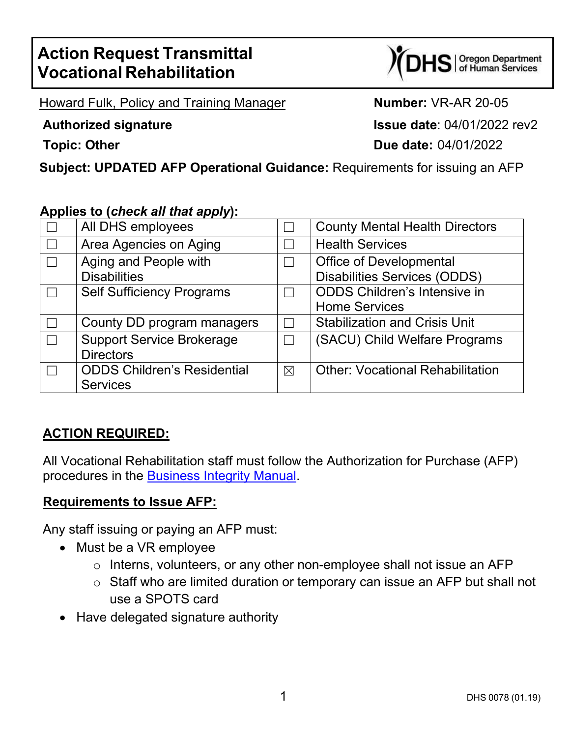# **Action Request Transmittal Vocational Rehabilitation**

S | Oregon Department<br>S | of Human Services

Howard Fulk, Policy and Training Manager **Number:** VR-AR 20-05

**Authorized signature Issue date**: 04/01/2022 rev2 **Topic: Other Due date:** 04/01/2022

**Subject: UPDATED AFP Operational Guidance:** Requirements for issuing an AFP

### **Applies to (***check all that apply***):**

| All DHS employees                                     |             | <b>County Mental Health Directors</b>                                 |
|-------------------------------------------------------|-------------|-----------------------------------------------------------------------|
| Area Agencies on Aging                                |             | <b>Health Services</b>                                                |
| Aging and People with<br><b>Disabilities</b>          |             | <b>Office of Developmental</b><br><b>Disabilities Services (ODDS)</b> |
| <b>Self Sufficiency Programs</b>                      |             | <b>ODDS Children's Intensive in</b><br><b>Home Services</b>           |
| County DD program managers                            |             | <b>Stabilization and Crisis Unit</b>                                  |
| <b>Support Service Brokerage</b><br><b>Directors</b>  |             | (SACU) Child Welfare Programs                                         |
| <b>ODDS Children's Residential</b><br><b>Services</b> | $\boxtimes$ | <b>Other: Vocational Rehabilitation</b>                               |

## **ACTION REQUIRED:**

All Vocational Rehabilitation staff must follow the Authorization for Purchase (AFP) procedures in the [Business Integrity Manual.](https://dhsoha.sharepoint.com/teams/Hub-ODHS-VR/Shared%20Documents/Forms/AllItems.aspx?id=%2Fteams%2FHub%2DODHS%2DVR%2FShared%20Documents%2FPolicies%2DRules%2DRegulations%2FManuals%2DReferences%2FBusiness%20Integrity%20Manual%2Epdf&parent=%2Fteams%2FHub%2DODHS%2DVR%2FShared%20Documents%2FPolicies%2DRules%2DRegulations%2FManuals%2DReferences)

#### **Requirements to Issue AFP:**

Any staff issuing or paying an AFP must:

- Must be a VR employee
	- o Interns, volunteers, or any other non-employee shall not issue an AFP
	- o Staff who are limited duration or temporary can issue an AFP but shall not use a SPOTS card
- Have delegated signature authority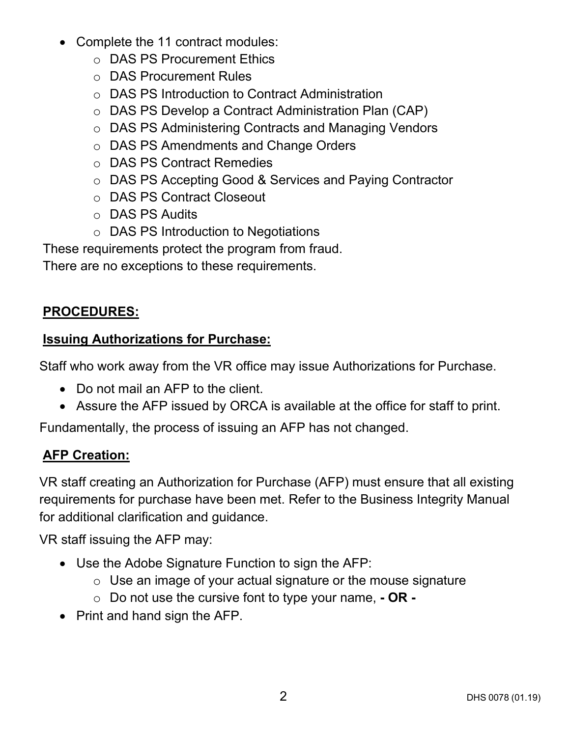- Complete the 11 contract modules:
	- o DAS PS Procurement Ethics
	- o DAS Procurement Rules
	- o DAS PS Introduction to Contract Administration
	- o DAS PS Develop a Contract Administration Plan (CAP)
	- o DAS PS Administering Contracts and Managing Vendors
	- o DAS PS Amendments and Change Orders
	- o DAS PS Contract Remedies
	- o DAS PS Accepting Good & Services and Paying Contractor
	- o DAS PS Contract Closeout
	- o DAS PS Audits
	- o DAS PS Introduction to Negotiations

These requirements protect the program from fraud.

There are no exceptions to these requirements.

# **PROCEDURES:**

## **Issuing Authorizations for Purchase:**

Staff who work away from the VR office may issue Authorizations for Purchase.

- Do not mail an AFP to the client.
- Assure the AFP issued by ORCA is available at the office for staff to print.

Fundamentally, the process of issuing an AFP has not changed.

# **AFP Creation:**

VR staff creating an Authorization for Purchase (AFP) must ensure that all existing requirements for purchase have been met. Refer to the [Business Integrity Manual](https://dhsoha.sharepoint.com/teams/Hub-ODHS-VR/Shared%20Documents/Forms/AllItems.aspx?id=%2Fteams%2FHub%2DODHS%2DVR%2FShared%20Documents%2FPolicies%2DRules%2DRegulations%2FManuals%2DReferences%2FBusiness%20Integrity%20Manual%2Epdf&parent=%2Fteams%2FHub%2DODHS%2DVR%2FShared%20Documents%2FPolicies%2DRules%2DRegulations%2FManuals%2DReferences) for additional clarification and guidance.

VR staff issuing the AFP may:

- Use the Adobe Signature Function to sign the AFP:
	- $\circ$  Use an image of your actual signature or the mouse signature
	- o Do not use the cursive font to type your name, **- OR -**
- Print and hand sign the AFP.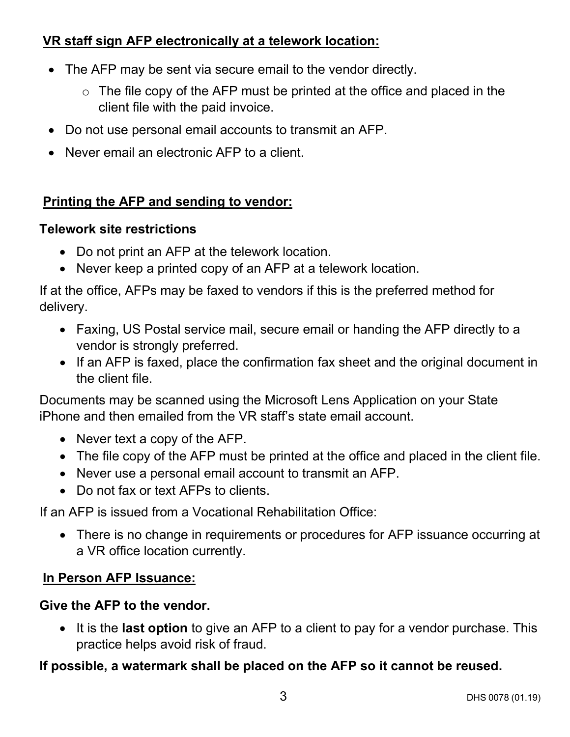## **VR staff sign AFP electronically at a telework location:**

- The AFP may be sent via secure email to the vendor directly.
	- $\circ$  The file copy of the AFP must be printed at the office and placed in the client file with the paid invoice.
- Do not use personal email accounts to transmit an AFP.
- Never email an electronic AFP to a client.

#### **Printing the AFP and sending to vendor:**

#### **Telework site restrictions**

- Do not print an AFP at the telework location.
- Never keep a printed copy of an AFP at a telework location.

If at the office, AFPs may be faxed to vendors if this is the preferred method for delivery.

- Faxing, US Postal service mail, secure email or handing the AFP directly to a vendor is strongly preferred.
- If an AFP is faxed, place the confirmation fax sheet and the original document in the client file.

Documents may be scanned using the Microsoft Lens Application on your State iPhone and then emailed from the VR staff's state email account.

- Never text a copy of the AFP.
- The file copy of the AFP must be printed at the office and placed in the client file.
- Never use a personal email account to transmit an AFP.
- Do not fax or text AFPs to clients.

If an AFP is issued from a Vocational Rehabilitation Office:

• There is no change in requirements or procedures for AFP issuance occurring at a VR office location currently.

### **In Person AFP Issuance:**

#### **Give the AFP to the vendor.**

• It is the **last option** to give an AFP to a client to pay for a vendor purchase. This practice helps avoid risk of fraud.

### **If possible, a watermark shall be placed on the AFP so it cannot be reused.**